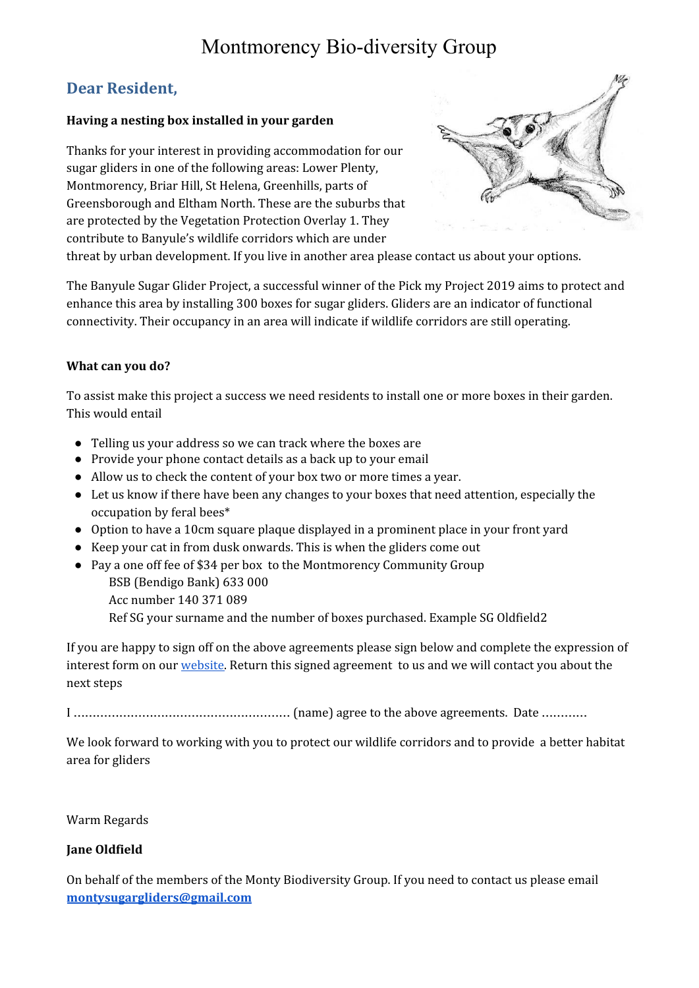## Montmorency Bio-diversity Group

### **Dear Resident,**

#### **Having a nesting box installed in your garden**

Thanks for your interest in providing accommodation for our sugar gliders in one of the following areas: Lower Plenty, Montmorency, Briar Hill, St Helena, Greenhills, parts of Greensborough and Eltham North. These are the suburbs that are protected by the Vegetation Protection Overlay 1. They contribute to Banyule's wildlife corridors which are under



threat by urban development. If you live in another area please contact us about your options.

The Banyule Sugar Glider Project, a successful winner of the Pick my Project 2019 aims to protect and enhance this area by installing 300 boxes for sugar gliders. Gliders are an indicator of functional connectivity. Their occupancy in an area will indicate if wildlife corridors are still operating.

#### **What can you do?**

To assist make this project a success we need residents to install one or more boxes in their garden. This would entail

- Telling us your address so we can track where the boxes are
- Provide your phone contact details as a back up to your email
- Allow us to check the content of your box two or more times a year.
- Let us know if there have been any changes to your boxes that need attention, especially the occupation by feral bees\*
- Option to have a 10cm square plaque displayed in a prominent place in your front yard
- Keep your cat in from dusk onwards. This is when the gliders come out
- Pay a one off fee of \$34 per box to the Montmorency Community Group BSB (Bendigo Bank) 633 000 Acc number 140 371 089 Ref SG your surname and the number of boxes purchased. Example SG Oldfield2

If you are happy to sign off on the above agreements please sign below and complete the expression of interest form on our *[website](https://www.transitionmonty.org/get-a-nesting-box.html)*. Return this signed agreement to us and we will contact you about the next steps

I ………………………………………………… (name) agree to the above agreements. Date …………

We look forward to working with you to protect our wildlife corridors and to provide a better habitat area for gliders

Warm Regards

#### **Jane Oldfield**

On behalf of the members of the Monty Biodiversity Group. If you need to contact us please email **[montysugargliders@gmail.com](mailto:montysugargliders@gmail.com)**